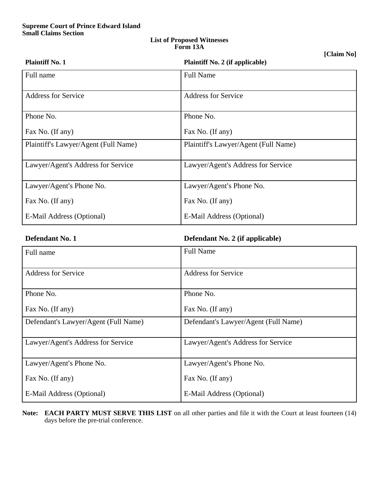## **List of Proposed Witnesses Form 13A**

## **[Claim No]**

| <b>Plaintiff No. 1</b>               | <b>Plaintiff No. 2 (if applicable)</b> |
|--------------------------------------|----------------------------------------|
| Full name                            | <b>Full Name</b>                       |
| <b>Address for Service</b>           | <b>Address for Service</b>             |
| Phone No.                            | Phone No.                              |
| Fax No. (If any)                     | Fax No. (If any)                       |
| Plaintiff's Lawyer/Agent (Full Name) | Plaintiff's Lawyer/Agent (Full Name)   |
| Lawyer/Agent's Address for Service   | Lawyer/Agent's Address for Service     |
| Lawyer/Agent's Phone No.             | Lawyer/Agent's Phone No.               |
| Fax No. (If any)                     | Fax No. (If any)                       |
| E-Mail Address (Optional)            | E-Mail Address (Optional)              |

**Defendant No. 1 Defendant No. 2 (if applicable)**

| Full name                            | <b>Full Name</b>                     |
|--------------------------------------|--------------------------------------|
| <b>Address for Service</b>           | <b>Address for Service</b>           |
| Phone No.                            | Phone No.                            |
| Fax No. (If any)                     | Fax No. (If any)                     |
| Defendant's Lawyer/Agent (Full Name) | Defendant's Lawyer/Agent (Full Name) |
| Lawyer/Agent's Address for Service   | Lawyer/Agent's Address for Service   |
| Lawyer/Agent's Phone No.             | Lawyer/Agent's Phone No.             |
| Fax No. (If any)                     | Fax No. (If any)                     |
| E-Mail Address (Optional)            | E-Mail Address (Optional)            |

**Note: EACH PARTY MUST SERVE THIS LIST** on all other parties and file it with the Court at least fourteen (14) days before the pre-trial conference.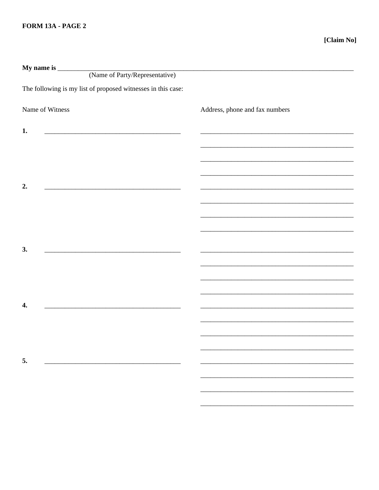| (Name of Party/Representative)                               |                                                                                                                                                                                                                                             |  |  |
|--------------------------------------------------------------|---------------------------------------------------------------------------------------------------------------------------------------------------------------------------------------------------------------------------------------------|--|--|
| The following is my list of proposed witnesses in this case: |                                                                                                                                                                                                                                             |  |  |
| Name of Witness                                              | Address, phone and fax numbers                                                                                                                                                                                                              |  |  |
| 1.                                                           | <u> 1989 - Johann Barbara, margaret eta idazlearia (h. 1989).</u>                                                                                                                                                                           |  |  |
|                                                              |                                                                                                                                                                                                                                             |  |  |
|                                                              |                                                                                                                                                                                                                                             |  |  |
| 2.                                                           |                                                                                                                                                                                                                                             |  |  |
|                                                              | <u> 1989 - Johann John Stone, markin film yn y brening yn y brening yn y brening yn y brening yn y brening y bre</u><br><u> 1989 - Johann Barbara, martxa alemaniar argamento este alemaniar alemaniar alemaniar alemaniar alemaniar al</u> |  |  |
|                                                              |                                                                                                                                                                                                                                             |  |  |
| 3.                                                           |                                                                                                                                                                                                                                             |  |  |
|                                                              |                                                                                                                                                                                                                                             |  |  |
|                                                              |                                                                                                                                                                                                                                             |  |  |
| 4.                                                           |                                                                                                                                                                                                                                             |  |  |
|                                                              |                                                                                                                                                                                                                                             |  |  |
|                                                              |                                                                                                                                                                                                                                             |  |  |
| 5.                                                           |                                                                                                                                                                                                                                             |  |  |
|                                                              |                                                                                                                                                                                                                                             |  |  |
|                                                              |                                                                                                                                                                                                                                             |  |  |